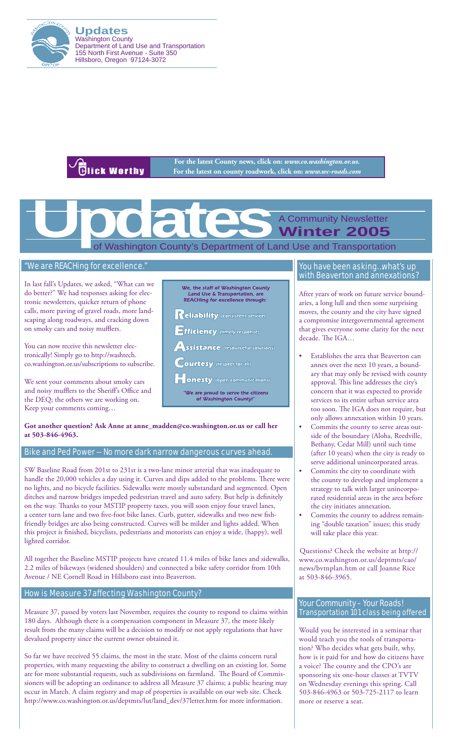

**Updates** Washington County Department of Land Use and Transportation 155 North First Avenue - Suite 350 Hillsboro, Oregon 97124-3072

**Blick Worthy** 

**For the latest County news, click on:** *www.co.washington.or.us.* **For the latest on county roadwork, click on:** *www.wc-roads.com*

of Washington County's Department of Land Use and Transportation A Community Newsletter **Winter 2005 Updates Constraint School Separtment of La** 

## "We are REACHing for excellence."

In last fall's Updates, we asked, "What can we do better?" We had responses asking for electronic newsletters, quicker return of phone calls, more paving of gravel roads, more landscaping along roadways, and cracking down on smoky cars and noisy mufflers.

You can now receive this newsletter electronically! Simply go to http://washtech. co.washington.or.us/subscriptions to subscribe.

We sent your comments about smoky cars and noisy mufflers to the Sheriff's Office and the DEQ; the others we are working on. Keep your comments coming…

We, the staff of Washington County Land Use & Transportation, are<br>REACHing for excellence through:

 $\mathsf{Reliability}$  (consistent service)

 $E$ fficiency (timely response)

**ssistance** (resourceful solutions)

**Courtesy** (respect for all)

**ONESty** (open communications)

We are proud to serve the citizens<br>of Washington County!"

#### **Got another question? Ask Anne at anne\_madden@co.washington.or.us or call her at 503-846-4963.**

## Bike and Ped Power -- No more dark narrow dangerous curves ahead.

SW Baseline Road from 201st to 231st is a two-lane minor arterial that was inadequate to handle the 20,000 vehicles a day using it. Curves and dips added to the problems. There were no lights, and no bicycle facilities. Sidewalks were mostly substandard and segmented. Open ditches and narrow bridges impeded pedestrian travel and auto safety. But help is definitely on the way. Thanks to your MSTIP property taxes, you will soon enjoy four travel lanes, a center turn lane and two five-foot bike lanes. Curb, gutter, sidewalks and two new fishfriendly bridges are also being constructed. Curves will be milder and lights added. When this project is finished, bicyclists, pedestrians and motorists can enjoy a wide, (happy), well lighted corridor.

All together the Baseline MSTIP projects have created 11.4 miles of bike lanes and sidewalks, 2.2 miles of bikeways (widened shoulders) and connected a bike safety corridor from 10th Avenue / NE Cornell Road in Hillsboro east into Beaverton.

### How is Measure 37 affecting Washington County?

Measure 37, passed by voters last November, requires the county to respond to claims within 180 days. Although there is a compensation component in Measure 37, the more likely result from the many claims will be a decision to modify or not apply regulations that have devalued property since the current owner obtained it.

So far we have received 55 claims, the most in the state. Most of the claims concern rural properties, with many requesting the ability to construct a dwelling on an existing lot. Some are for more substantial requests, such as subdivisions on farmland. The Board of Commissioners will be adopting an ordinance to address all Measure 37 claims; a public hearing may occur in March. A claim registry and map of properties is available on our web site. Check http://www.co.washington.or.us/deptmts/lut/land\_dev/37letter.htm for more information.

#### You have been asking…what's up with Beaverton and annexations?

After years of work on future service boundaries, a long lull and then some surprising moves, the county and the city have signed a compromise intergovernmental agreement that gives everyone some clarity for the next decade. The IGA…

- Establishes the area that Beaverton can annex over the next 10 years, a boundary that may only be revised with county approval. This line addresses the city's concern that it was expected to provide services to its entire urban service area too soon. The IGA does not require, but only allows annexation within 10 years.
- Commits the county to serve areas outside of the boundary (Aloha, Reedville, Bethany, Cedar Mill) until such time (after 10 years) when the city is ready to serve additional unincorporated areas.
- Commits the city to coordinate with the county to develop and implement a strategy to talk with larger unincorporated residential areas in the area before the city initiates annexation.
- Commits the county to address remaining "double taxation" issues; this study will take place this year.

Questions? Check the website at http:// www.co.washington.or.us/deptmts/cao/ news/bvtnplan.htm or call Joanne Rice at 503-846-3965.

## Your Community – Your Roads! Transportation 101 class being offered

Would you be interested in a seminar that would teach you the tools of transportation? Who decides what gets built, why, how is it paid for and how do citizens have a voice? The county and the CPO's are sponsoring six one-hour classes at TVTV on Wednesday evenings this spring. Call 503-846-4963 or 503-725-2117 to learn more or reserve a seat.